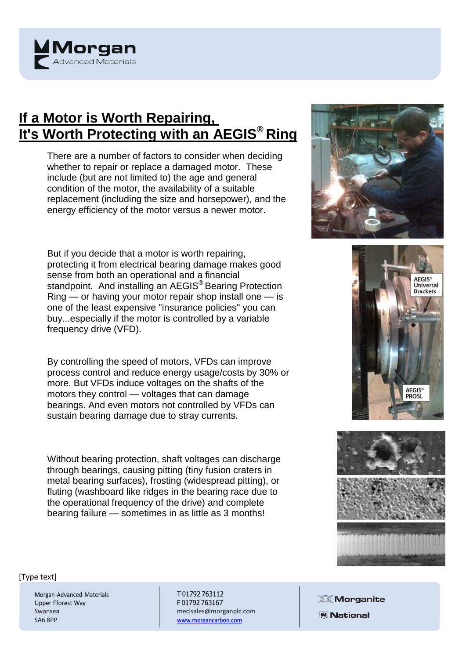

## **If a Motor is Worth Repairing, It's Worth Protecting with an AEGIS® Ring**

There are a number of factors to consider when deciding whether to repair or replace a damaged motor. These include (but are not limited to) the age and general condition of the motor, the availability of a suitable replacement (including the size and horsepower), and the energy efficiency of the motor versus a newer motor.

But if you decide that a motor is worth repairing, protecting it from electrical bearing damage makes good sense from both an operational and a financial standpoint. And installing an AEGIS<sup>®</sup> Bearing Protection Ring — or having your motor repair shop install one — is one of the least expensive "insurance policies" you can buy...especially if the motor is controlled by a variable frequency drive (VFD).

By controlling the speed of motors, VFDs can improve process control and reduce energy usage/costs by 30% or more. But VFDs induce voltages on the shafts of the motors they control — voltages that can damage bearings. And even motors not controlled by VFDs can sustain bearing damage due to stray currents.

Without bearing protection, shaft voltages can discharge through bearings, causing pitting (tiny fusion craters in metal bearing surfaces), frosting (widespread pitting), or fluting (washboard like ridges in the bearing race due to the operational frequency of the drive) and complete bearing failure — sometimes in as little as 3 months!







## [Type text]

Morgan Advanced Materials Upper Fforest Way Swansea SA6 8PP

T01792763112 F01792763167 [meclsales@morganplc.com](mailto:meclsales@morganplc.com) www.morgancarbon.com

**X** Morganite **N** National